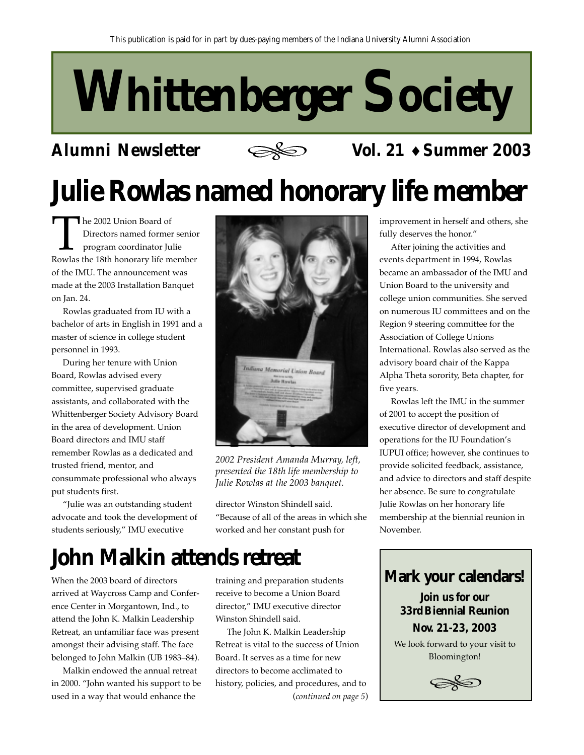# **Whittenberger Society**

### **Alumni Newsletter**



### **Vol. 21** ♦ **Summer 2003**

# **Julie Rowlas named honorary life member**

The 2002 Union Board of<br>Directors named former senior<br>program coordinator Julie<br>Rowlas the 18th honorary life member Directors named former senior program coordinator Julie of the IMU. The announcement was made at the 2003 Installation Banquet on Jan. 24.

Rowlas graduated from IU with a bachelor of arts in English in 1991 and a master of science in college student personnel in 1993.

During her tenure with Union Board, Rowlas advised every committee, supervised graduate assistants, and collaborated with the Whittenberger Society Advisory Board in the area of development. Union Board directors and IMU staff remember Rowlas as a dedicated and trusted friend, mentor, and consummate professional who always put students first.

"Julie was an outstanding student advocate and took the development of students seriously," IMU executive



*2002 President Amanda Murray, left, presented the 18th life membership to Julie Rowlas at the 2003 banquet.*

director Winston Shindell said. "Because of all of the areas in which she worked and her constant push for

# **John Malkin attends retreat**

When the 2003 board of directors arrived at Waycross Camp and Conference Center in Morgantown, Ind., to attend the John K. Malkin Leadership Retreat, an unfamiliar face was present amongst their advising staff. The face belonged to John Malkin (UB 1983–84).

Malkin endowed the annual retreat in 2000. "John wanted his support to be used in a way that would enhance the

training and preparation students receive to become a Union Board director," IMU executive director Winston Shindell said.

The John K. Malkin Leadership Retreat is vital to the success of Union Board. It serves as a time for new directors to become acclimated to history, policies, and procedures, and to (*continued on page 5*) improvement in herself and others, she fully deserves the honor."

After joining the activities and events department in 1994, Rowlas became an ambassador of the IMU and Union Board to the university and college union communities. She served on numerous IU committees and on the Region 9 steering committee for the Association of College Unions International. Rowlas also served as the advisory board chair of the Kappa Alpha Theta sorority, Beta chapter, for five years.

Rowlas left the IMU in the summer of 2001 to accept the position of executive director of development and operations for the IU Foundation's IUPUI office; however, she continues to provide solicited feedback, assistance, and advice to directors and staff despite her absence. Be sure to congratulate Julie Rowlas on her honorary life membership at the biennial reunion in November.



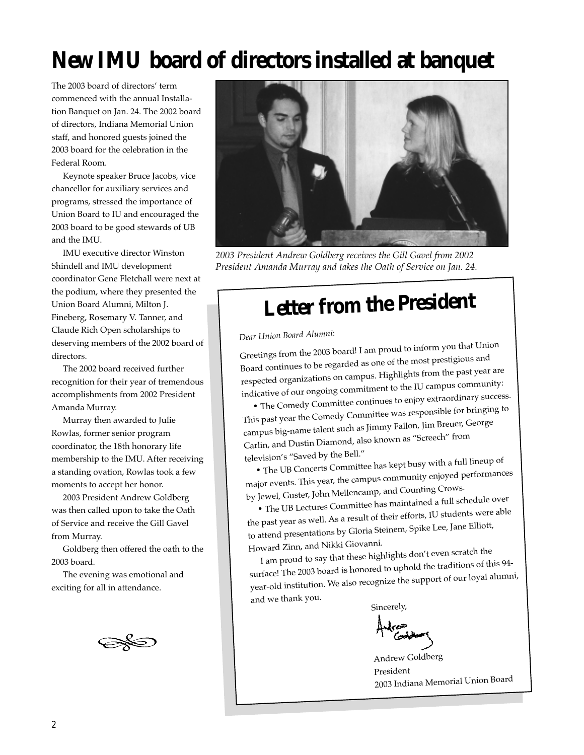# **New IMU board of directors installed at banquet**

The 2003 board of directors' term commenced with the annual Installation Banquet on Jan. 24. The 2002 board of directors, Indiana Memorial Union staff, and honored guests joined the 2003 board for the celebration in the Federal Room.

Keynote speaker Bruce Jacobs, vice chancellor for auxiliary services and programs, stressed the importance of Union Board to IU and encouraged the 2003 board to be good stewards of UB and the IMU.

IMU executive director Winston Shindell and IMU development coordinator Gene Fletchall were next at the podium, where they presented the Union Board Alumni, Milton J. Fineberg, Rosemary V. Tanner, and Claude Rich Open scholarships to deserving members of the 2002 board of directors.

The 2002 board received further recognition for their year of tremendous accomplishments from 2002 President Amanda Murray.

Murray then awarded to Julie Rowlas, former senior program coordinator, the 18th honorary life membership to the IMU. After receiving a standing ovation, Rowlas took a few moments to accept her honor.

2003 President Andrew Goldberg was then called upon to take the Oath of Service and receive the Gill Gavel from Murray.

Goldberg then offered the oath to the 2003 board.

The evening was emotional and exciting for all in attendance.

'''



*2003 President Andrew Goldberg receives the Gill Gavel from 2002 President Amanda Murray and takes the Oath of Service on Jan. 24.*

# **Letter from the President**

*Dear Union Board Alumni*:

Greetings from the 2003 board! I am proud to inform you that Union Board continues to be regarded as one of the most prestigious an<sup>d</sup> respected organizations on campus. Highlights from the past year are indicative of our ongoing commitment to the IU campus community:

• The Comedy Committee continues to enjoy extraordinary success. This past year the Comedy Committee was responsible for bringing to campus big-name talent such as Jimmy Fallon, Jim Breuer, George Carlin, and Dustin Diamond, also known as "Screech" from television's "Saved by the Bell."

• The UB Concerts Committee has kept busy with a full lineup o<sup>f</sup> major events. This year, the campus community enjoyed performances by Jewel, Guster, John Mellencamp, and Counting Crows.

• The UB Lectures Committee has maintained a full schedule over the past year as well. As a result of their efforts, IU students were able to attend presentations by Gloria Steinem, Spike Lee, Jane Elliott, Howard Zinn, and Nikki Giovanni.

I am proud to say that these highlights don't even scratch the surface! The 2003 board is honored to uphold the traditions of this 94 year-old institution. We also recognize the support of our loyal alumni, and we thank you.

Sincerely,

Andrew Goldberg President 2003 Indiana Memorial Union Boar<sup>d</sup>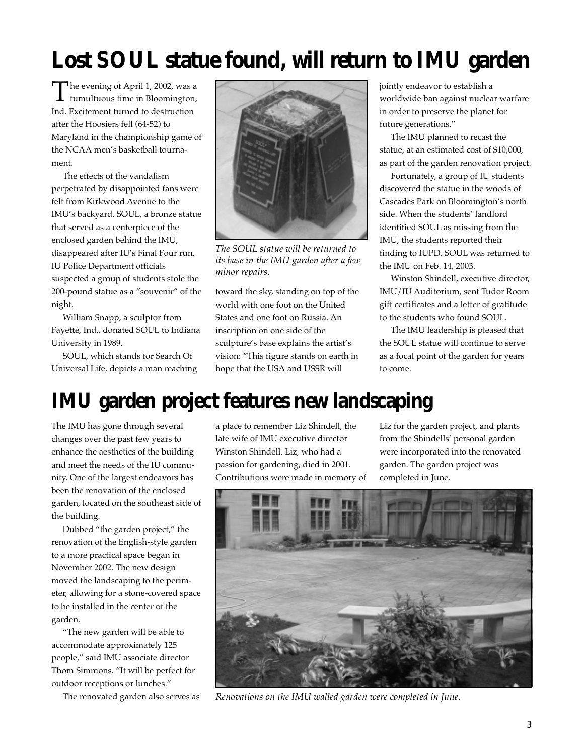# **Lost SOUL statue found, will return to IMU garden**

The evening of April 1, 2002, was a tumultuous time in Bloomington, Ind. Excitement turned to destruction after the Hoosiers fell (64-52) to Maryland in the championship game of the NCAA men's basketball tournament.

The effects of the vandalism perpetrated by disappointed fans were felt from Kirkwood Avenue to the IMU's backyard. SOUL, a bronze statue that served as a centerpiece of the enclosed garden behind the IMU, disappeared after IU's Final Four run. IU Police Department officials suspected a group of students stole the 200-pound statue as a "souvenir" of the night.

William Snapp, a sculptor from Fayette, Ind., donated SOUL to Indiana University in 1989.

SOUL, which stands for Search Of Universal Life, depicts a man reaching



*The SOUL statue will be returned to its base in the IMU garden after a few minor repairs.*

toward the sky, standing on top of the world with one foot on the United States and one foot on Russia. An inscription on one side of the sculpture's base explains the artist's vision: "This figure stands on earth in hope that the USA and USSR will

jointly endeavor to establish a worldwide ban against nuclear warfare in order to preserve the planet for future generations."

The IMU planned to recast the statue, at an estimated cost of \$10,000, as part of the garden renovation project.

Fortunately, a group of IU students discovered the statue in the woods of Cascades Park on Bloomington's north side. When the students' landlord identified SOUL as missing from the IMU, the students reported their finding to IUPD. SOUL was returned to the IMU on Feb. 14, 2003.

Winston Shindell, executive director, IMU/IU Auditorium, sent Tudor Room gift certificates and a letter of gratitude to the students who found SOUL.

The IMU leadership is pleased that the SOUL statue will continue to serve as a focal point of the garden for years to come.

# **IMU garden project features new landscaping**

The IMU has gone through several changes over the past few years to enhance the aesthetics of the building and meet the needs of the IU community. One of the largest endeavors has been the renovation of the enclosed garden, located on the southeast side of the building.

Dubbed "the garden project," the renovation of the English-style garden to a more practical space began in November 2002. The new design moved the landscaping to the perimeter, allowing for a stone-covered space to be installed in the center of the garden.

"The new garden will be able to accommodate approximately 125 people," said IMU associate director Thom Simmons. "It will be perfect for outdoor receptions or lunches."

The renovated garden also serves as

a place to remember Liz Shindell, the late wife of IMU executive director Winston Shindell. Liz, who had a passion for gardening, died in 2001. Contributions were made in memory of Liz for the garden project, and plants from the Shindells' personal garden were incorporated into the renovated garden. The garden project was completed in June.



*Renovations on the IMU walled garden were completed in June.*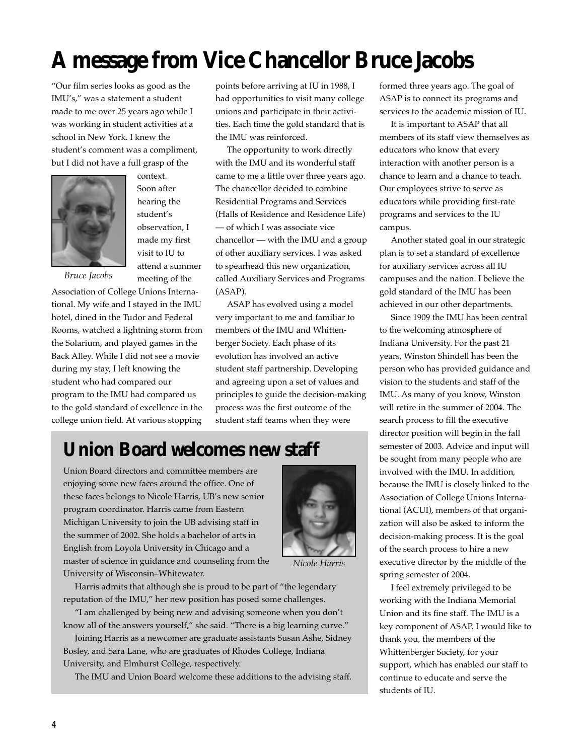# **A message from Vice Chancellor Bruce Jacobs**

"Our film series looks as good as the IMU's," was a statement a student made to me over 25 years ago while I was working in student activities at a school in New York. I knew the student's comment was a compliment, but I did not have a full grasp of the



Soon after hearing the student's observation, I made my first visit to IU to attend a summer meeting of the

context.

*Bruce Jacobs*

Association of College Unions International. My wife and I stayed in the IMU hotel, dined in the Tudor and Federal Rooms, watched a lightning storm from the Solarium, and played games in the Back Alley. While I did not see a movie during my stay, I left knowing the student who had compared our program to the IMU had compared us to the gold standard of excellence in the college union field. At various stopping

points before arriving at IU in 1988, I had opportunities to visit many college unions and participate in their activities. Each time the gold standard that is the IMU was reinforced.

The opportunity to work directly with the IMU and its wonderful staff came to me a little over three years ago. The chancellor decided to combine Residential Programs and Services (Halls of Residence and Residence Life) — of which I was associate vice chancellor — with the IMU and a group of other auxiliary services. I was asked to spearhead this new organization, called Auxiliary Services and Programs (ASAP).

ASAP has evolved using a model very important to me and familiar to members of the IMU and Whittenberger Society. Each phase of its evolution has involved an active student staff partnership. Developing and agreeing upon a set of values and principles to guide the decision-making process was the first outcome of the student staff teams when they were

# **Union Board welcomes new staff**

Union Board directors and committee members are enjoying some new faces around the office. One of these faces belongs to Nicole Harris, UB's new senior program coordinator. Harris came from Eastern Michigan University to join the UB advising staff in the summer of 2002. She holds a bachelor of arts in English from Loyola University in Chicago and a master of science in guidance and counseling from the University of Wisconsin–Whitewater.



*Nicole Harris*

Harris admits that although she is proud to be part of "the legendary reputation of the IMU," her new position has posed some challenges.

"I am challenged by being new and advising someone when you don't know all of the answers yourself," she said. "There is a big learning curve."

Joining Harris as a newcomer are graduate assistants Susan Ashe, Sidney Bosley, and Sara Lane, who are graduates of Rhodes College, Indiana University, and Elmhurst College, respectively.

The IMU and Union Board welcome these additions to the advising staff.

formed three years ago. The goal of ASAP is to connect its programs and services to the academic mission of IU.

It is important to ASAP that all members of its staff view themselves as educators who know that every interaction with another person is a chance to learn and a chance to teach. Our employees strive to serve as educators while providing first-rate programs and services to the IU campus.

Another stated goal in our strategic plan is to set a standard of excellence for auxiliary services across all IU campuses and the nation. I believe the gold standard of the IMU has been achieved in our other departments.

Since 1909 the IMU has been central to the welcoming atmosphere of Indiana University. For the past 21 years, Winston Shindell has been the person who has provided guidance and vision to the students and staff of the IMU. As many of you know, Winston will retire in the summer of 2004. The search process to fill the executive director position will begin in the fall semester of 2003. Advice and input will be sought from many people who are involved with the IMU. In addition, because the IMU is closely linked to the Association of College Unions International (ACUI), members of that organization will also be asked to inform the decision-making process. It is the goal of the search process to hire a new executive director by the middle of the spring semester of 2004.

I feel extremely privileged to be working with the Indiana Memorial Union and its fine staff. The IMU is a key component of ASAP. I would like to thank you, the members of the Whittenberger Society, for your support, which has enabled our staff to continue to educate and serve the students of IU.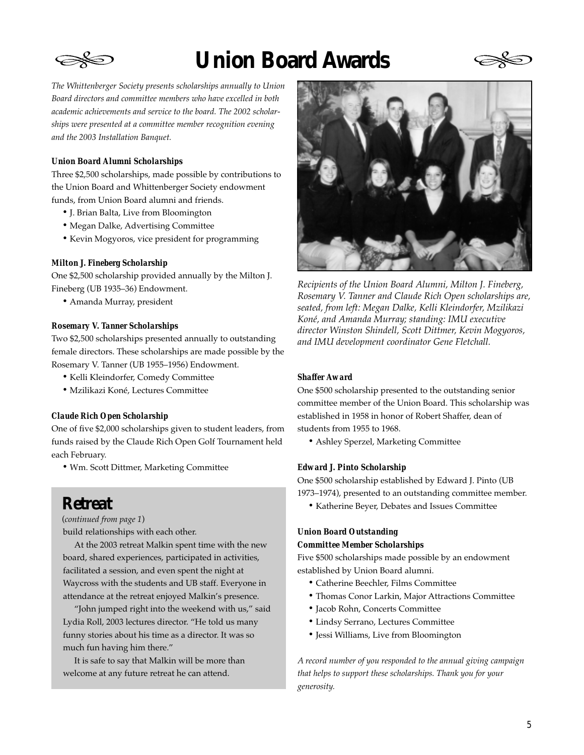

# **Union Board Awards**



*The Whittenberger Society presents scholarships annually to Union Board directors and committee members who have excelled in both academic achievements and service to the board. The 2002 scholarships were presented at a committee member recognition evening and the 2003 Installation Banquet.*

#### *Union Board Alumni Scholarships*

Three \$2,500 scholarships, made possible by contributions to the Union Board and Whittenberger Society endowment funds, from Union Board alumni and friends.

- J. Brian Balta, Live from Bloomington
- Megan Dalke, Advertising Committee
- Kevin Mogyoros, vice president for programming

#### *Milton J. Fineberg Scholarship*

One \$2,500 scholarship provided annually by the Milton J. Fineberg (UB 1935–36) Endowment.

• Amanda Murray, president

#### *Rosemary V. Tanner Scholarships*

Two \$2,500 scholarships presented annually to outstanding female directors. These scholarships are made possible by the Rosemary V. Tanner (UB 1955–1956) Endowment.

- Kelli Kleindorfer, Comedy Committee
- Mzilikazi Koné, Lectures Committee

#### *Claude Rich Open Scholarship*

One of five \$2,000 scholarships given to student leaders, from funds raised by the Claude Rich Open Golf Tournament held each February.

• Wm. Scott Dittmer, Marketing Committee

### **Retreat**

(*continued from page 1*)

build relationships with each other.

At the 2003 retreat Malkin spent time with the new board, shared experiences, participated in activities, facilitated a session, and even spent the night at Waycross with the students and UB staff. Everyone in attendance at the retreat enjoyed Malkin's presence.

"John jumped right into the weekend with us," said Lydia Roll, 2003 lectures director. "He told us many funny stories about his time as a director. It was so much fun having him there."

It is safe to say that Malkin will be more than welcome at any future retreat he can attend.



*Recipients of the Union Board Alumni, Milton J. Fineberg, Rosemary V. Tanner and Claude Rich Open scholarships are, seated, from left: Megan Dalke, Kelli Kleindorfer, Mzilikazi Koné, and Amanda Murray; standing: IMU executive director Winston Shindell, Scott Dittmer, Kevin Mogyoros, and IMU development coordinator Gene Fletchall.*

#### *Shaffer Award*

One \$500 scholarship presented to the outstanding senior committee member of the Union Board. This scholarship was established in 1958 in honor of Robert Shaffer, dean of students from 1955 to 1968.

• Ashley Sperzel, Marketing Committee

#### *Edward J. Pinto Scholarship*

One \$500 scholarship established by Edward J. Pinto (UB 1973–1974), presented to an outstanding committee member.

• Katherine Beyer, Debates and Issues Committee

#### *Union Board Outstanding*

#### *Committee Member Scholarships*

Five \$500 scholarships made possible by an endowment established by Union Board alumni.

- Catherine Beechler, Films Committee
- Thomas Conor Larkin, Major Attractions Committee
- Jacob Rohn, Concerts Committee
- Lindsy Serrano, Lectures Committee
- Jessi Williams, Live from Bloomington

*A record number of you responded to the annual giving campaign that helps to support these scholarships. Thank you for your generosity.*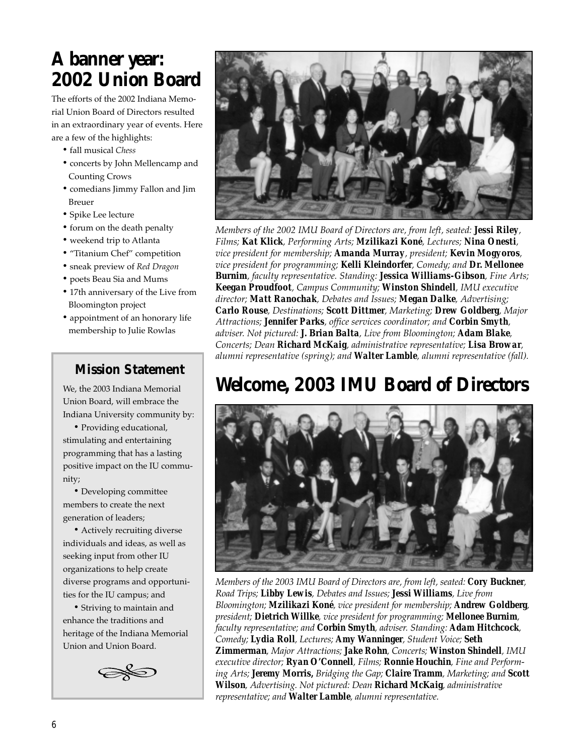# **A banner year: 2002 Union Board**

The efforts of the 2002 Indiana Memorial Union Board of Directors resulted in an extraordinary year of events. Here are a few of the highlights:

- fall musical *Chess*
- concerts by John Mellencamp and Counting Crows
- comedians Jimmy Fallon and Jim Breuer
- Spike Lee lecture
- forum on the death penalty
- weekend trip to Atlanta
- "Titanium Chef" competition
- sneak preview of *Red Dragon*
- poets Beau Sia and Mums
- 17th anniversary of the Live from Bloomington project
- appointment of an honorary life membership to Julie Rowlas

#### **Mission Statement**

We, the 2003 Indiana Memorial Union Board, will embrace the Indiana University community by:

• Providing educational, stimulating and entertaining programming that has a lasting positive impact on the IU community;

• Developing committee members to create the next generation of leaders;

• Actively recruiting diverse individuals and ideas, as well as seeking input from other IU organizations to help create diverse programs and opportunities for the IU campus; and

• Striving to maintain and enhance the traditions and heritage of the Indiana Memorial Union and Union Board.





*Members of the 2002 IMU Board of Directors are, from left, seated: Jessi Riley, Films; Kat Klick, Performing Arts; Mzilikazi Koné, Lectures; Nina Onesti, vice president for membership; Amanda Murray, president; Kevin Mogyoros, vice president for programming; Kelli Kleindorfer, Comedy; and Dr. Mellonee Burnim, faculty representative. Standing: Jessica Williams-Gibson, Fine Arts; Keegan Proudfoot, Campus Community; Winston Shindell, IMU executive director; Matt Ranochak, Debates and Issues; Megan Dalke, Advertising; Carlo Rouse, Destinations; Scott Dittmer, Marketing; Drew Goldberg, Major Attractions; Jennifer Parks, office services coordinator; and Corbin Smyth, adviser. Not pictured: J. Brian Balta, Live from Bloomington; Adam Blake, Concerts; Dean Richard McKaig, administrative representative; Lisa Browar, alumni representative (spring); and Walter Lamble, alumni representative (fall).*

# **Welcome, 2003 IMU Board of Directors**



*Members of the 2003 IMU Board of Directors are, from left, seated: Cory Buckner, Road Trips; Libby Lewis, Debates and Issues; Jessi Williams, Live from Bloomington; Mzilikazi Koné, vice president for membership; Andrew Goldberg, president; Dietrich Willke, vice president for programming; Mellonee Burnim, faculty representative; and Corbin Smyth, adviser. Standing: Adam Hitchcock, Comedy; Lydia Roll, Lectures; Amy Wanninger, Student Voice; Seth Zimmerman, Major Attractions; Jake Rohn, Concerts; Winston Shindell, IMU executive director; Ryan O'Connell, Films; Ronnie Houchin, Fine and Performing Arts; Jeremy Morris, Bridging the Gap; Claire Tramm, Marketing; and Scott Wilson, Advertising. Not pictured: Dean Richard McKaig, administrative representative; and Walter Lamble, alumni representative.*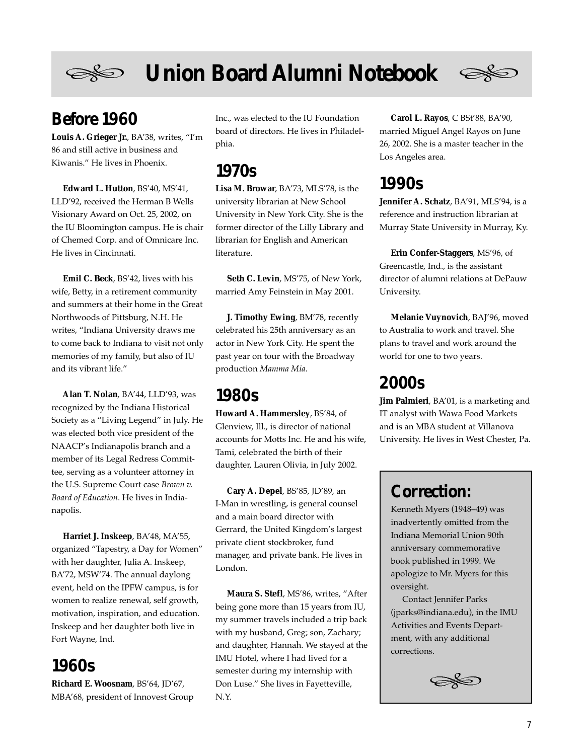

# **Union Board Alumni Notebook**



### **Before 1960**

**Louis A. Grieger Jr.**, BA'38, writes, "I'm 86 and still active in business and Kiwanis." He lives in Phoenix.

**Edward L. Hutton**, BS'40, MS'41, LLD'92, received the Herman B Wells Visionary Award on Oct. 25, 2002, on the IU Bloomington campus. He is chair of Chemed Corp. and of Omnicare Inc. He lives in Cincinnati.

**Emil C. Beck**, BS'42, lives with his wife, Betty, in a retirement community and summers at their home in the Great Northwoods of Pittsburg, N.H. He writes, "Indiana University draws me to come back to Indiana to visit not only memories of my family, but also of IU and its vibrant life."

**Alan T. Nolan**, BA'44, LLD'93, was recognized by the Indiana Historical Society as a "Living Legend" in July. He was elected both vice president of the NAACP's Indianapolis branch and a member of its Legal Redress Committee, serving as a volunteer attorney in the U.S. Supreme Court case *Brown v. Board of Education*. He lives in Indianapolis.

**Harriet J. Inskeep**, BA'48, MA'55, organized "Tapestry, a Day for Women" with her daughter, Julia A. Inskeep, BA'72, MSW'74. The annual daylong event, held on the IPFW campus, is for women to realize renewal, self growth, motivation, inspiration, and education. Inskeep and her daughter both live in Fort Wayne, Ind.

### **1960s**

**Richard E. Woosnam**, BS'64, JD'67, MBA'68, president of Innovest Group Inc., was elected to the IU Foundation board of directors. He lives in Philadelphia.

### **1970s**

**Lisa M. Browar**, BA'73, MLS'78, is the university librarian at New School University in New York City. She is the former director of the Lilly Library and librarian for English and American literature.

**Seth C. Levin**, MS'75, of New York, married Amy Feinstein in May 2001.

**J. Timothy Ewing**, BM'78, recently celebrated his 25th anniversary as an actor in New York City. He spent the past year on tour with the Broadway production *Mamma Mia*.

### **1980s**

**Howard A. Hammersley**, BS'84, of Glenview, Ill., is director of national accounts for Motts Inc. He and his wife, Tami, celebrated the birth of their daughter, Lauren Olivia, in July 2002.

**Cary A. Depel**, BS'85, JD'89, an I-Man in wrestling, is general counsel and a main board director with Gerrard, the United Kingdom's largest private client stockbroker, fund manager, and private bank. He lives in London.

**Maura S. Stefl**, MS'86, writes, "After being gone more than 15 years from IU, my summer travels included a trip back with my husband, Greg; son, Zachary; and daughter, Hannah. We stayed at the IMU Hotel, where I had lived for a semester during my internship with Don Luse." She lives in Fayetteville, N.Y.

**Carol L. Rayos**, C BSt'88, BA'90, married Miguel Angel Rayos on June 26, 2002. She is a master teacher in the Los Angeles area.

### **1990s**

**Jennifer A. Schatz**, BA'91, MLS'94, is a reference and instruction librarian at Murray State University in Murray, Ky.

**Erin Confer-Staggers**, MS'96, of Greencastle, Ind., is the assistant director of alumni relations at DePauw University.

**Melanie Vuynovich**, BAJ'96, moved to Australia to work and travel. She plans to travel and work around the world for one to two years.

### **2000s**

**Jim Palmieri**, BA'01, is a marketing and IT analyst with Wawa Food Markets and is an MBA student at Villanova University. He lives in West Chester, Pa.

### **Correction:**

Kenneth Myers (1948–49) was inadvertently omitted from the Indiana Memorial Union 90th anniversary commemorative book published in 1999. We apologize to Mr. Myers for this oversight.

Contact Jennifer Parks (jparks@indiana.edu), in the IMU Activities and Events Department, with any additional corrections.